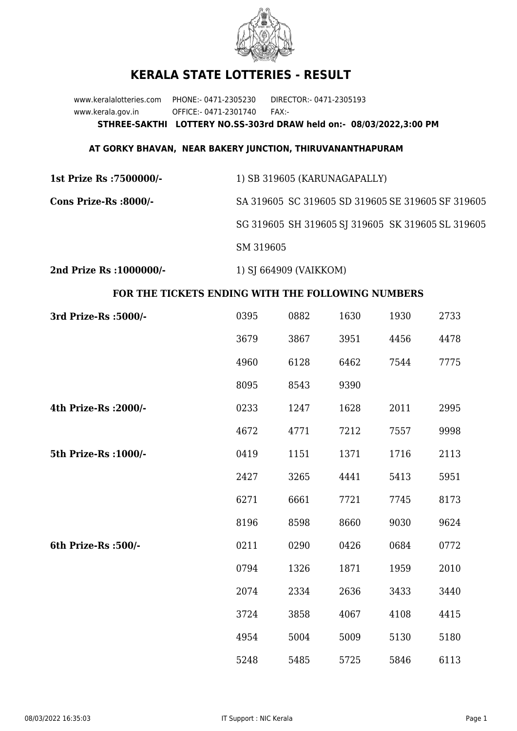

## **KERALA STATE LOTTERIES - RESULT**

www.keralalotteries.com PHONE:- 0471-2305230 DIRECTOR:- 0471-2305193 www.kerala.gov.in OFFICE:- 0471-2301740 FAX:- **STHREE-SAKTHI LOTTERY NO.SS-303rd DRAW held on:- 08/03/2022,3:00 PM**

## **AT GORKY BHAVAN, NEAR BAKERY JUNCTION, THIRUVANANTHAPURAM**

| 1st Prize Rs : 7500000/- | 1) SB 319605 (KARUNAGAPALLY)                      |  |  |
|--------------------------|---------------------------------------------------|--|--|
| Cons Prize-Rs :8000/-    | SA 319605 SC 319605 SD 319605 SE 319605 SF 319605 |  |  |
|                          | SG 319605 SH 319605 SJ 319605 SK 319605 SL 319605 |  |  |
|                          | SM 319605                                         |  |  |
|                          |                                                   |  |  |

**2nd Prize Rs :1000000/-** 1) SJ 664909 (VAIKKOM)

## **FOR THE TICKETS ENDING WITH THE FOLLOWING NUMBERS**

| 3rd Prize-Rs : 5000/- | 0395 | 0882 | 1630 | 1930 | 2733 |
|-----------------------|------|------|------|------|------|
|                       | 3679 | 3867 | 3951 | 4456 | 4478 |
|                       | 4960 | 6128 | 6462 | 7544 | 7775 |
|                       | 8095 | 8543 | 9390 |      |      |
| 4th Prize-Rs : 2000/- | 0233 | 1247 | 1628 | 2011 | 2995 |
|                       | 4672 | 4771 | 7212 | 7557 | 9998 |
| 5th Prize-Rs : 1000/- | 0419 | 1151 | 1371 | 1716 | 2113 |
|                       | 2427 | 3265 | 4441 | 5413 | 5951 |
|                       | 6271 | 6661 | 7721 | 7745 | 8173 |
|                       | 8196 | 8598 | 8660 | 9030 | 9624 |
| 6th Prize-Rs :500/-   | 0211 | 0290 | 0426 | 0684 | 0772 |
|                       | 0794 | 1326 | 1871 | 1959 | 2010 |
|                       | 2074 | 2334 | 2636 | 3433 | 3440 |
|                       | 3724 | 3858 | 4067 | 4108 | 4415 |
|                       | 4954 | 5004 | 5009 | 5130 | 5180 |
|                       | 5248 | 5485 | 5725 | 5846 | 6113 |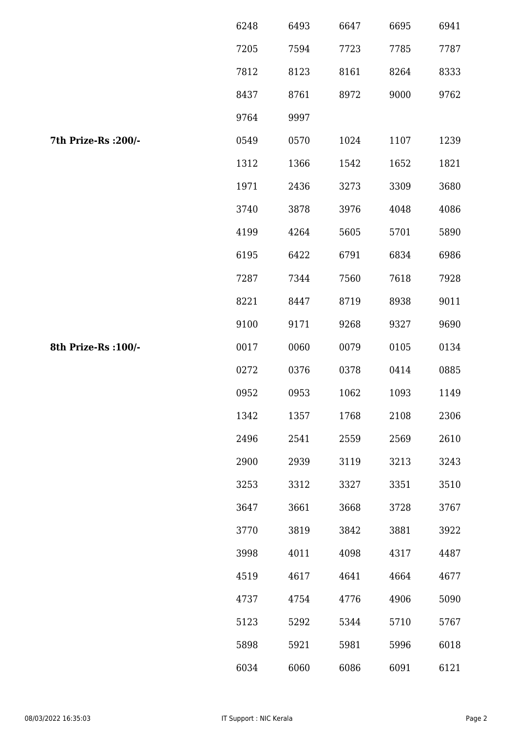|                      | 6248 | 6493 | 6647 | 6695 | 6941 |
|----------------------|------|------|------|------|------|
|                      | 7205 | 7594 | 7723 | 7785 | 7787 |
|                      | 7812 | 8123 | 8161 | 8264 | 8333 |
|                      | 8437 | 8761 | 8972 | 9000 | 9762 |
|                      | 9764 | 9997 |      |      |      |
| 7th Prize-Rs : 200/- | 0549 | 0570 | 1024 | 1107 | 1239 |
|                      | 1312 | 1366 | 1542 | 1652 | 1821 |
|                      | 1971 | 2436 | 3273 | 3309 | 3680 |
|                      | 3740 | 3878 | 3976 | 4048 | 4086 |
|                      | 4199 | 4264 | 5605 | 5701 | 5890 |
|                      | 6195 | 6422 | 6791 | 6834 | 6986 |
|                      | 7287 | 7344 | 7560 | 7618 | 7928 |
|                      | 8221 | 8447 | 8719 | 8938 | 9011 |
|                      | 9100 | 9171 | 9268 | 9327 | 9690 |
| 8th Prize-Rs : 100/- | 0017 | 0060 | 0079 | 0105 | 0134 |
|                      | 0272 | 0376 | 0378 | 0414 | 0885 |
|                      | 0952 | 0953 | 1062 | 1093 | 1149 |
|                      | 1342 | 1357 | 1768 | 2108 | 2306 |
|                      | 2496 | 2541 | 2559 | 2569 | 2610 |
|                      | 2900 | 2939 | 3119 | 3213 | 3243 |
|                      | 3253 | 3312 | 3327 | 3351 | 3510 |
|                      | 3647 | 3661 | 3668 | 3728 | 3767 |
|                      | 3770 | 3819 | 3842 | 3881 | 3922 |
|                      | 3998 | 4011 | 4098 | 4317 | 4487 |
|                      | 4519 | 4617 | 4641 | 4664 | 4677 |
|                      | 4737 | 4754 | 4776 | 4906 | 5090 |
|                      | 5123 | 5292 | 5344 | 5710 | 5767 |
|                      | 5898 | 5921 | 5981 | 5996 | 6018 |
|                      | 6034 | 6060 | 6086 | 6091 | 6121 |